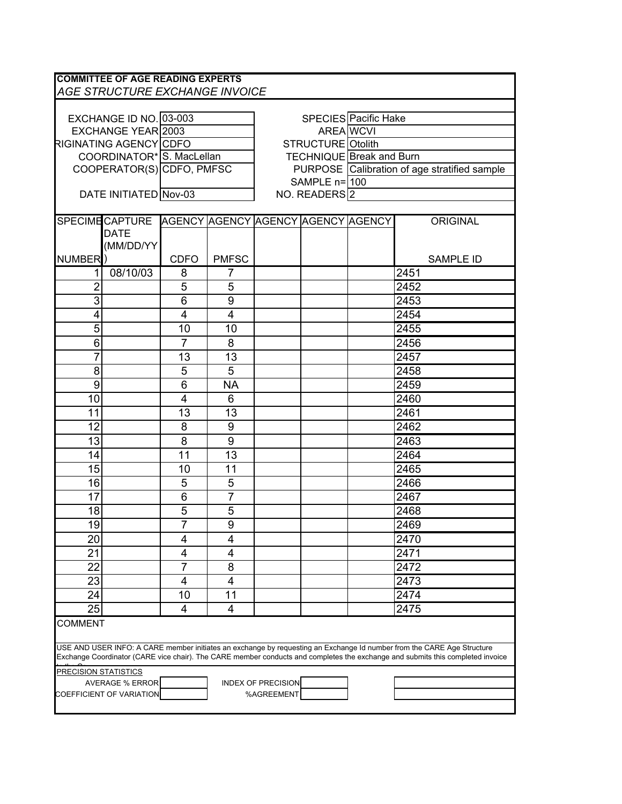|                                                                                                                                                                                                                                                          | <b>COMMITTEE OF AGE READING EXPERTS</b><br>AGE STRUCTURE EXCHANGE INVOICE |                           |              |                           |                          |                                              |                  |  |
|----------------------------------------------------------------------------------------------------------------------------------------------------------------------------------------------------------------------------------------------------------|---------------------------------------------------------------------------|---------------------------|--------------|---------------------------|--------------------------|----------------------------------------------|------------------|--|
|                                                                                                                                                                                                                                                          |                                                                           |                           |              |                           |                          |                                              |                  |  |
|                                                                                                                                                                                                                                                          |                                                                           |                           |              | SPECIES Pacific Hake      |                          |                                              |                  |  |
| EXCHANGE ID NO. 03-003<br>EXCHANGE YEAR 2003                                                                                                                                                                                                             |                                                                           |                           |              | <b>AREA</b> WCVI          |                          |                                              |                  |  |
| RIGINATING AGENCY CDFO                                                                                                                                                                                                                                   |                                                                           |                           |              | <b>STRUCTURE</b> Otolith  |                          |                                              |                  |  |
| COORDINATOR* S. MacLellan                                                                                                                                                                                                                                |                                                                           |                           |              |                           |                          | <b>TECHNIQUE</b> Break and Burn              |                  |  |
|                                                                                                                                                                                                                                                          |                                                                           | COOPERATOR(S) CDFO, PMFSC |              |                           |                          | PURPOSE Calibration of age stratified sample |                  |  |
|                                                                                                                                                                                                                                                          |                                                                           |                           |              | SAMPLE n= 100             |                          |                                              |                  |  |
| DATE INITIATED Nov-03                                                                                                                                                                                                                                    |                                                                           |                           |              |                           | NO. READERS <sup>2</sup> |                                              |                  |  |
|                                                                                                                                                                                                                                                          |                                                                           |                           |              |                           |                          |                                              |                  |  |
|                                                                                                                                                                                                                                                          | SPECIME CAPTURE AGENCY AGENCY AGENCY AGENCY AGENCY                        |                           |              |                           |                          |                                              | <b>ORIGINAL</b>  |  |
|                                                                                                                                                                                                                                                          | <b>DATE</b>                                                               |                           |              |                           |                          |                                              |                  |  |
|                                                                                                                                                                                                                                                          | (MM/DD/YY                                                                 |                           |              |                           |                          |                                              |                  |  |
| <b>NUMBER</b>                                                                                                                                                                                                                                            |                                                                           | <b>CDFO</b>               | <b>PMFSC</b> |                           |                          |                                              | <b>SAMPLE ID</b> |  |
| 1                                                                                                                                                                                                                                                        | 08/10/03                                                                  | 8                         | 7            |                           |                          |                                              | 2451             |  |
| $\overline{2}$                                                                                                                                                                                                                                           |                                                                           | 5                         | 5            |                           |                          |                                              | 2452             |  |
| 3                                                                                                                                                                                                                                                        |                                                                           | 6                         | 9            |                           |                          |                                              | 2453             |  |
| 4                                                                                                                                                                                                                                                        |                                                                           | 4                         | 4            |                           |                          |                                              | 2454             |  |
| 5                                                                                                                                                                                                                                                        |                                                                           | 10                        | 10           |                           |                          |                                              | 2455             |  |
| 6                                                                                                                                                                                                                                                        |                                                                           | $\overline{7}$            | 8            |                           |                          |                                              | 2456             |  |
| 7                                                                                                                                                                                                                                                        |                                                                           | 13                        | 13           |                           |                          |                                              | 2457             |  |
| 8                                                                                                                                                                                                                                                        |                                                                           | 5                         | 5            |                           |                          |                                              | 2458             |  |
| 9                                                                                                                                                                                                                                                        |                                                                           | 6                         | <b>NA</b>    |                           |                          |                                              | 2459             |  |
| 10                                                                                                                                                                                                                                                       |                                                                           | $\overline{4}$            | 6            |                           |                          |                                              | 2460             |  |
| 11                                                                                                                                                                                                                                                       |                                                                           | 13                        | 13           |                           |                          |                                              | 2461             |  |
| 12                                                                                                                                                                                                                                                       |                                                                           | 8                         | 9            |                           |                          |                                              | 2462             |  |
|                                                                                                                                                                                                                                                          |                                                                           |                           | 9            |                           |                          |                                              |                  |  |
| 13                                                                                                                                                                                                                                                       |                                                                           | 8                         |              |                           |                          |                                              | 2463             |  |
| 14                                                                                                                                                                                                                                                       |                                                                           | 11                        | 13           |                           |                          |                                              | 2464             |  |
| 15                                                                                                                                                                                                                                                       |                                                                           | 10                        | 11           |                           |                          |                                              | 2465             |  |
| 16                                                                                                                                                                                                                                                       |                                                                           | 5                         | 5            |                           |                          |                                              | 2466             |  |
| 17                                                                                                                                                                                                                                                       |                                                                           | 6                         | 7            |                           |                          |                                              | 2467             |  |
| 18                                                                                                                                                                                                                                                       |                                                                           | 5                         | 5            |                           |                          |                                              | 2468             |  |
| 19                                                                                                                                                                                                                                                       |                                                                           | $\overline{7}$            | 9            |                           |                          |                                              | 2469             |  |
| 20                                                                                                                                                                                                                                                       |                                                                           | $\overline{4}$            | 4            |                           |                          |                                              | 2470             |  |
| 21                                                                                                                                                                                                                                                       |                                                                           | 4                         | 4            |                           |                          |                                              | 2471             |  |
| 22                                                                                                                                                                                                                                                       |                                                                           | 7                         | 8            |                           |                          |                                              | 2472             |  |
| 23                                                                                                                                                                                                                                                       |                                                                           | 4                         | 4            |                           |                          |                                              | 2473             |  |
| 24                                                                                                                                                                                                                                                       |                                                                           | 10                        | 11           |                           |                          |                                              | 2474             |  |
| 25                                                                                                                                                                                                                                                       |                                                                           | 4                         | 4            |                           |                          |                                              | 2475             |  |
| <b>COMMENT</b>                                                                                                                                                                                                                                           |                                                                           |                           |              |                           |                          |                                              |                  |  |
|                                                                                                                                                                                                                                                          |                                                                           |                           |              |                           |                          |                                              |                  |  |
| USE AND USER INFO: A CARE member initiates an exchange by requesting an Exchange Id number from the CARE Age Structure<br>Exchange Coordinator (CARE vice chair). The CARE member conducts and completes the exchange and submits this completed invoice |                                                                           |                           |              |                           |                          |                                              |                  |  |
| <b>PRECISION STATISTICS</b>                                                                                                                                                                                                                              |                                                                           |                           |              |                           |                          |                                              |                  |  |
|                                                                                                                                                                                                                                                          | <b>AVERAGE % ERROR</b>                                                    |                           |              | <b>INDEX OF PRECISION</b> |                          |                                              |                  |  |
|                                                                                                                                                                                                                                                          | COEFFICIENT OF VARIATION                                                  |                           |              | %AGREEMENT                |                          |                                              |                  |  |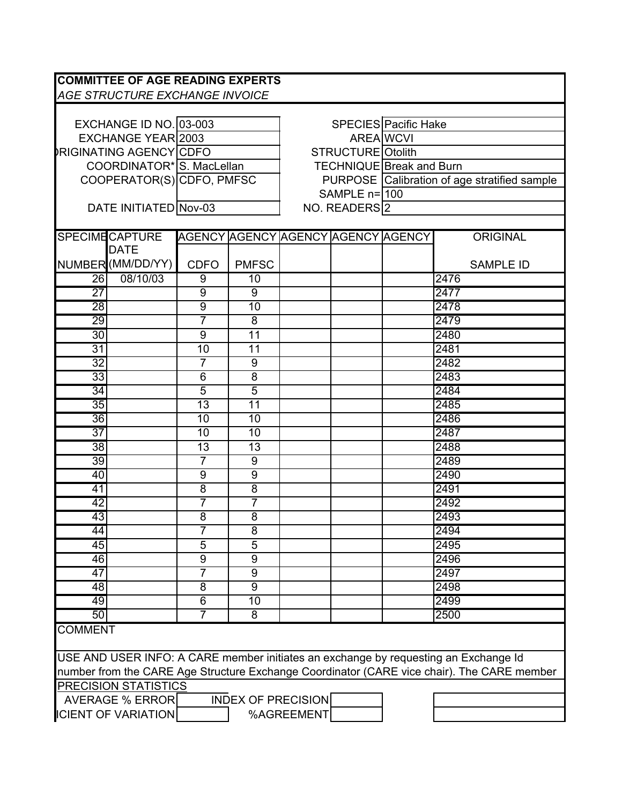| <b>COMMITTEE OF AGE READING EXPERTS</b>                                                    |                            |                           |                 |                                    |  |                                              |                      |  |
|--------------------------------------------------------------------------------------------|----------------------------|---------------------------|-----------------|------------------------------------|--|----------------------------------------------|----------------------|--|
| AGE STRUCTURE EXCHANGE INVOICE                                                             |                            |                           |                 |                                    |  |                                              |                      |  |
|                                                                                            |                            |                           |                 |                                    |  |                                              |                      |  |
| EXCHANGE ID NO. 03-003                                                                     |                            |                           |                 |                                    |  |                                              | SPECIES Pacific Hake |  |
| <b>EXCHANGE YEAR 2003</b>                                                                  |                            |                           |                 | <b>AREA WCVI</b>                   |  |                                              |                      |  |
| <b>RIGINATING AGENCY CDFO</b>                                                              |                            |                           |                 | STRUCTURE Otolith                  |  |                                              |                      |  |
|                                                                                            |                            | COORDINATOR* S. MacLellan |                 |                                    |  | TECHNIQUE Break and Burn                     |                      |  |
|                                                                                            |                            | COOPERATOR(S) CDFO, PMFSC |                 |                                    |  | PURPOSE Calibration of age stratified sample |                      |  |
|                                                                                            |                            |                           |                 | SAMPLE n=100                       |  |                                              |                      |  |
|                                                                                            | DATE INITIATED Nov-03      |                           |                 | NO. READERS <sup>2</sup>           |  |                                              |                      |  |
|                                                                                            |                            |                           |                 |                                    |  |                                              |                      |  |
|                                                                                            | <b>SPECIME CAPTURE</b>     |                           |                 | AGENCY AGENCY AGENCY AGENCY AGENCY |  |                                              | ORIGINAL             |  |
|                                                                                            | <b>DATE</b>                |                           |                 |                                    |  |                                              |                      |  |
|                                                                                            | NUMBER (MM/DD/YY)          | <b>CDFO</b>               | <b>PMFSC</b>    |                                    |  |                                              | <b>SAMPLE ID</b>     |  |
| 26                                                                                         | 08/10/03                   | 9                         | 10              |                                    |  |                                              | 2476                 |  |
| $\overline{27}$                                                                            |                            | $\overline{9}$            | 9               |                                    |  |                                              | 2477                 |  |
| 28                                                                                         |                            | $\overline{9}$            | $\overline{10}$ |                                    |  |                                              | 2478                 |  |
| 29                                                                                         |                            | $\overline{7}$            | $\overline{8}$  |                                    |  |                                              | 2479                 |  |
| 30                                                                                         |                            | $\overline{9}$            | $\overline{11}$ |                                    |  |                                              | 2480                 |  |
| $\overline{31}$                                                                            |                            | $\overline{10}$           | 11              |                                    |  |                                              | 2481                 |  |
| $\overline{32}$                                                                            |                            | 7                         | 9               |                                    |  |                                              | 2482                 |  |
| $\overline{33}$                                                                            |                            | $\overline{6}$            | $\overline{8}$  |                                    |  |                                              | 2483                 |  |
| 34                                                                                         |                            | $\overline{5}$            | $\overline{5}$  |                                    |  |                                              | 2484                 |  |
| $\overline{35}$                                                                            |                            | $\overline{13}$           | $\overline{11}$ |                                    |  |                                              | 2485                 |  |
| $\overline{36}$                                                                            |                            | 10                        | $\overline{10}$ |                                    |  |                                              | 2486                 |  |
| $\overline{37}$                                                                            |                            | 10                        | 10              |                                    |  |                                              | 2487                 |  |
| 38                                                                                         |                            | $\overline{13}$           | $\overline{13}$ |                                    |  |                                              | 2488                 |  |
| $\overline{39}$                                                                            |                            | $\overline{7}$            | 9               |                                    |  |                                              | 2489                 |  |
| 40                                                                                         |                            | 9                         | $\overline{9}$  |                                    |  |                                              | 2490                 |  |
| $\overline{41}$                                                                            |                            | $\overline{8}$            | $\overline{8}$  |                                    |  |                                              | 2491                 |  |
| 42                                                                                         |                            | $\overline{7}$            | $\overline{7}$  |                                    |  |                                              | 2492                 |  |
| 43                                                                                         |                            | $\overline{8}$            | $\overline{8}$  |                                    |  |                                              | 2493                 |  |
| 44                                                                                         |                            |                           | 8               |                                    |  |                                              | 2494                 |  |
| 45                                                                                         |                            | $\overline{5}$            | $\overline{5}$  |                                    |  |                                              | 2495                 |  |
| 46                                                                                         |                            | $\overline{9}$            | $\overline{9}$  |                                    |  |                                              | 2496                 |  |
| $\overline{47}$                                                                            |                            | $\overline{7}$            | 9               |                                    |  |                                              | 2497                 |  |
| 48                                                                                         |                            | $\overline{8}$            | $\overline{9}$  |                                    |  |                                              | 2498                 |  |
| 49                                                                                         |                            | 6                         | 10              |                                    |  |                                              | 2499                 |  |
| 50                                                                                         |                            | $\overline{7}$            | 8               |                                    |  |                                              | 2500                 |  |
| <b>COMMENT</b>                                                                             |                            |                           |                 |                                    |  |                                              |                      |  |
| USE AND USER INFO: A CARE member initiates an exchange by requesting an Exchange Id        |                            |                           |                 |                                    |  |                                              |                      |  |
| number from the CARE Age Structure Exchange Coordinator (CARE vice chair). The CARE member |                            |                           |                 |                                    |  |                                              |                      |  |
| PRECISION STATISTICS                                                                       |                            |                           |                 |                                    |  |                                              |                      |  |
| AVERAGE % ERROR<br><b>INDEX OF PRECISION</b>                                               |                            |                           |                 |                                    |  |                                              |                      |  |
|                                                                                            | <b>ICIENT OF VARIATION</b> |                           |                 | %AGREEMENT                         |  |                                              |                      |  |
|                                                                                            |                            |                           |                 |                                    |  |                                              |                      |  |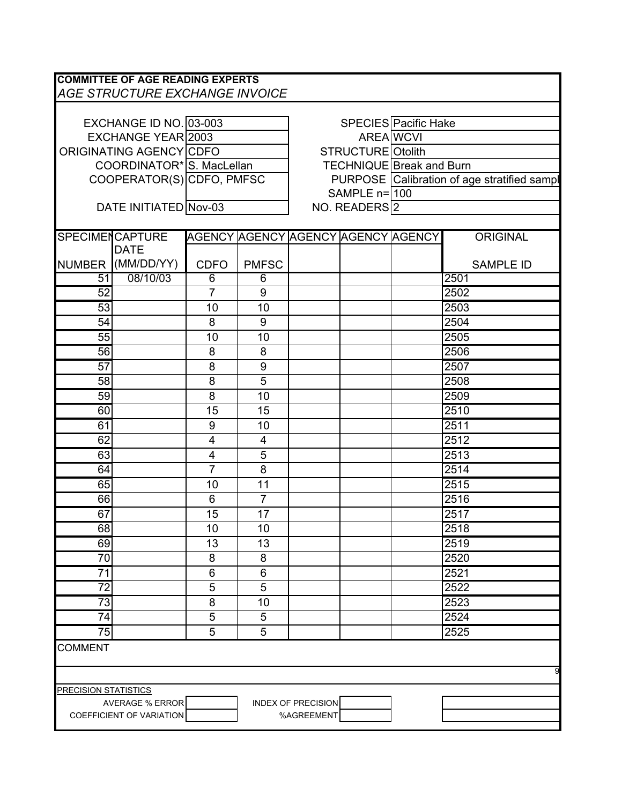| <b>COMMITTEE OF AGE READING EXPERTS</b><br><b>AGE STRUCTURE EXCHANGE INVOICE</b> |                           |                |                          |                                             |                          |  |                  |  |  |  |
|----------------------------------------------------------------------------------|---------------------------|----------------|--------------------------|---------------------------------------------|--------------------------|--|------------------|--|--|--|
|                                                                                  |                           |                |                          |                                             |                          |  |                  |  |  |  |
|                                                                                  | EXCHANGE ID NO. 03-003    |                | SPECIES Pacific Hake     |                                             |                          |  |                  |  |  |  |
|                                                                                  | EXCHANGE YEAR 2003        |                | AREA WCVI                |                                             |                          |  |                  |  |  |  |
|                                                                                  | ORIGINATING AGENCY CDFO   |                | <b>STRUCTURE</b> Otolith |                                             |                          |  |                  |  |  |  |
|                                                                                  | COORDINATOR* S. MacLellan |                |                          | <b>TECHNIQUE Break and Burn</b>             |                          |  |                  |  |  |  |
|                                                                                  |                           |                |                          | PURPOSE Calibration of age stratified sampl |                          |  |                  |  |  |  |
| COOPERATOR(S) CDFO, PMFSC                                                        |                           |                |                          | SAMPLE n=1100                               |                          |  |                  |  |  |  |
|                                                                                  | DATE INITIATED Nov-03     |                |                          |                                             | NO. READERS <sup>2</sup> |  |                  |  |  |  |
|                                                                                  |                           |                |                          |                                             |                          |  |                  |  |  |  |
|                                                                                  | <b>SPECIMENCAPTURE</b>    |                |                          | AGENCY AGENCY AGENCY AGENCY AGENCY          |                          |  | <b>ORIGINAL</b>  |  |  |  |
|                                                                                  | <b>DATE</b>               |                |                          |                                             |                          |  |                  |  |  |  |
|                                                                                  | NUMBER (MM/DD/YY)         | <b>CDFO</b>    | <b>PMFSC</b>             |                                             |                          |  | <b>SAMPLE ID</b> |  |  |  |
| 51                                                                               | 08/10/03                  | $\overline{6}$ | $\overline{6}$           |                                             |                          |  | 2501             |  |  |  |
| 52                                                                               |                           | $\overline{7}$ | 9                        |                                             |                          |  | 2502             |  |  |  |
| 53                                                                               |                           | 10             | 10                       |                                             |                          |  | 2503             |  |  |  |
| 54                                                                               |                           | 8              | 9                        |                                             |                          |  | 2504             |  |  |  |
| 55                                                                               |                           | 10             | 10                       |                                             |                          |  | 2505             |  |  |  |
| 56                                                                               |                           | 8              | 8                        |                                             |                          |  | 2506             |  |  |  |
| 57                                                                               |                           | 8              | 9                        |                                             |                          |  | 2507             |  |  |  |
| 58                                                                               |                           | 8              | 5                        |                                             |                          |  | 2508             |  |  |  |
| 59                                                                               |                           | 8              | 10                       |                                             |                          |  | 2509             |  |  |  |
| 60                                                                               |                           | 15             | 15                       |                                             |                          |  | 2510             |  |  |  |
| 61                                                                               |                           | 9              | 10                       |                                             |                          |  | 2511             |  |  |  |
| 62                                                                               |                           | $\overline{4}$ | $\overline{4}$           |                                             |                          |  | 2512             |  |  |  |
| 63                                                                               |                           | 4              | 5                        |                                             |                          |  | 2513             |  |  |  |
| 64                                                                               |                           | $\overline{7}$ | 8                        |                                             |                          |  | 2514             |  |  |  |
| 65                                                                               |                           | 10             | 11                       |                                             |                          |  | 2515             |  |  |  |
| 66                                                                               |                           | 6              | $\overline{7}$           |                                             |                          |  | 2516             |  |  |  |
| 67                                                                               |                           | 15             | 17                       |                                             |                          |  | 2517             |  |  |  |
| 68                                                                               |                           | 10             | 10                       |                                             |                          |  | 2518             |  |  |  |
| 69                                                                               |                           | 13             | 13                       |                                             |                          |  | 2519             |  |  |  |
| 70                                                                               |                           | 8              | 8                        |                                             |                          |  | 2520             |  |  |  |
| 71                                                                               |                           | 6              | 6                        |                                             |                          |  |                  |  |  |  |
| 72                                                                               |                           |                |                          |                                             |                          |  | 2521             |  |  |  |
|                                                                                  |                           | 5              | 5                        |                                             |                          |  | 2522             |  |  |  |
| 73                                                                               |                           | 8              | 10                       |                                             |                          |  | 2523             |  |  |  |
| 74                                                                               |                           | 5              | 5                        |                                             |                          |  | 2524             |  |  |  |
| 75                                                                               |                           | $\overline{5}$ | 5                        |                                             |                          |  | 2525             |  |  |  |
| <b>COMMENT</b>                                                                   |                           |                |                          |                                             |                          |  |                  |  |  |  |
| 9                                                                                |                           |                |                          |                                             |                          |  |                  |  |  |  |
| <b>PRECISION STATISTICS</b>                                                      |                           |                |                          |                                             |                          |  |                  |  |  |  |
|                                                                                  | <b>AVERAGE % ERROR</b>    |                |                          | <b>INDEX OF PRECISION</b>                   |                          |  |                  |  |  |  |
|                                                                                  | COEFFICIENT OF VARIATION  |                |                          | %AGREEMENT                                  |                          |  |                  |  |  |  |